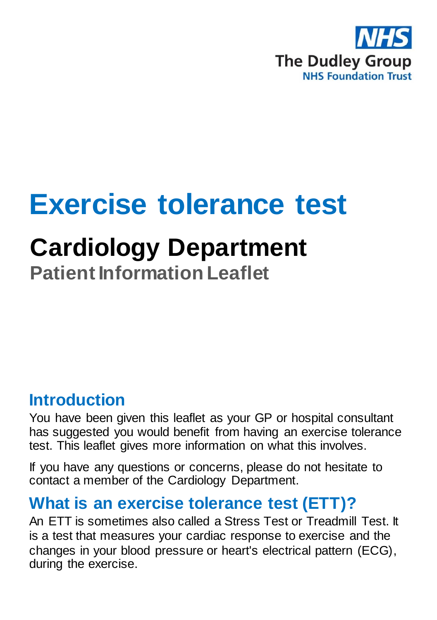

# **Exercise tolerance test**

## **Cardiology Department**

**Patient Information Leaflet**

#### **Introduction**

You have been given this leaflet as your GP or hospital consultant has suggested you would benefit from having an exercise tolerance test. This leaflet gives more information on what this involves.

If you have any questions or concerns, please do not hesitate to contact a member of the Cardiology Department.

## **What is an exercise tolerance test (ETT)?**

An ETT is sometimes also called a Stress Test or Treadmill Test. It is a test that measures your cardiac response to exercise and the changes in your blood pressure or heart's electrical pattern (ECG), during the exercise.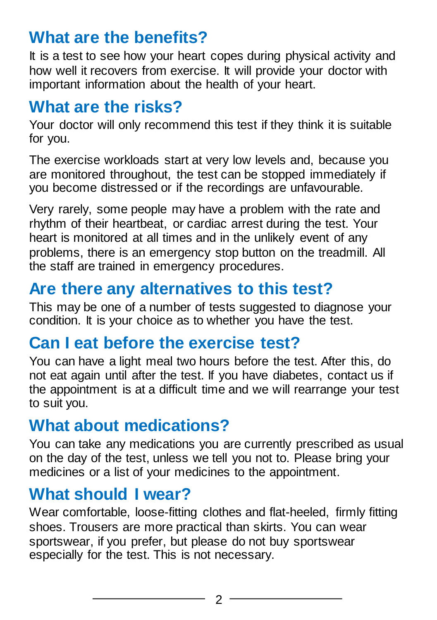## **What are the benefits?**

It is a test to see how your heart copes during physical activity and how well it recovers from exercise. It will provide your doctor with important information about the health of your heart.

#### **What are the risks?**

Your doctor will only recommend this test if they think it is suitable for you.

The exercise workloads start at very low levels and, because you are monitored throughout, the test can be stopped immediately if you become distressed or if the recordings are unfavourable.

Very rarely, some people may have a problem with the rate and rhythm of their heartbeat, or cardiac arrest during the test. Your heart is monitored at all times and in the unlikely event of any problems, there is an emergency stop button on the treadmill. All the staff are trained in emergency procedures.

## **Are there any alternatives to this test?**

This may be one of a number of tests suggested to diagnose your condition. It is your choice as to whether you have the test.

## **Can I eat before the exercise test?**

You can have a light meal two hours before the test. After this, do not eat again until after the test. If you have diabetes, contact us if the appointment is at a difficult time and we will rearrange your test to suit you.

## **What about medications?**

You can take any medications you are currently prescribed as usual on the day of the test, unless we tell you not to. Please bring your medicines or a list of your medicines to the appointment.

## **What should I wear?**

Wear comfortable, loose-fitting clothes and flat-heeled, firmly fitting shoes. Trousers are more practical than skirts. You can wear sportswear, if you prefer, but please do not buy sportswear especially for the test. This is not necessary.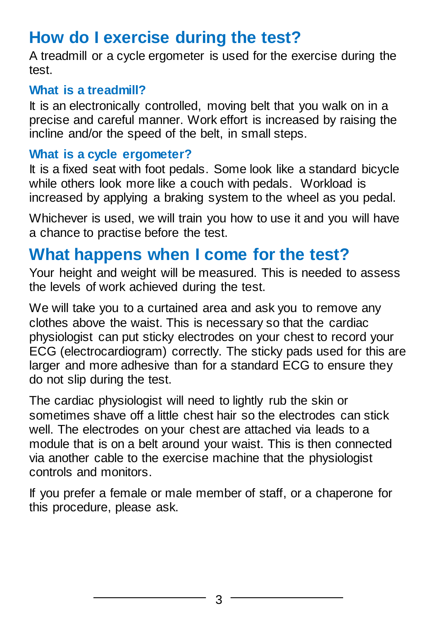## **How do I exercise during the test?**

A treadmill or a cycle ergometer is used for the exercise during the test.

#### **What is a treadmill?**

It is an electronically controlled, moving belt that you walk on in a precise and careful manner. Work effort is increased by raising the incline and/or the speed of the belt, in small steps.

#### **What is a cycle ergometer?**

It is a fixed seat with foot pedals. Some look like a standard bicycle while others look more like a couch with pedals. Workload is increased by applying a braking system to the wheel as you pedal.

Whichever is used, we will train you how to use it and you will have a chance to practise before the test.

#### **What happens when I come for the test?**

Your height and weight will be measured. This is needed to assess the levels of work achieved during the test.

We will take you to a curtained area and ask you to remove any clothes above the waist. This is necessary so that the cardiac physiologist can put sticky electrodes on your chest to record your ECG (electrocardiogram) correctly. The sticky pads used for this are larger and more adhesive than for a standard ECG to ensure they do not slip during the test.

The cardiac physiologist will need to lightly rub the skin or sometimes shave off a little chest hair so the electrodes can stick well. The electrodes on your chest are attached via leads to a module that is on a belt around your waist. This is then connected via another cable to the exercise machine that the physiologist controls and monitors.

If you prefer a female or male member of staff, or a chaperone for this procedure, please ask.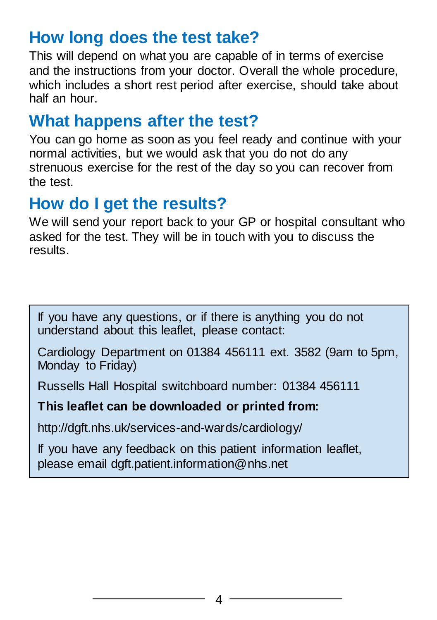## **How long does the test take?**

This will depend on what you are capable of in terms of exercise and the instructions from your doctor. Overall the whole procedure, which includes a short rest period after exercise, should take about half an hour.

## **What happens after the test?**

You can go home as soon as you feel ready and continue with your normal activities, but we would ask that you do not do any strenuous exercise for the rest of the day so you can recover from the test.

#### **How do I get the results?**

We will send your report back to your GP or hospital consultant who asked for the test. They will be in touch with you to discuss the results.

If you have any questions, or if there is anything you do not understand about this leaflet, please contact:

Cardiology Department on 01384 456111 ext. 3582 (9am to 5pm, Monday to Friday)

Russells Hall Hospital switchboard number: 01384 456111

#### **This leaflet can be downloaded or printed from:**

http://dgft.nhs.uk/services-and-wards/cardiology/

If you have any feedback on this patient information leaflet, please email dgft.patient.information@nhs.net